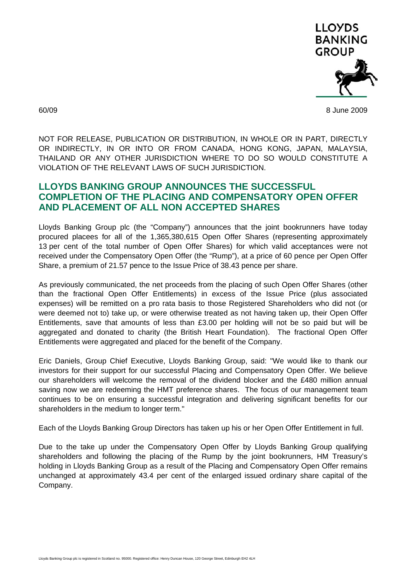

60/09 8 June 2009

NOT FOR RELEASE, PUBLICATION OR DISTRIBUTION, IN WHOLE OR IN PART, DIRECTLY OR INDIRECTLY, IN OR INTO OR FROM CANADA, HONG KONG, JAPAN, MALAYSIA, THAILAND OR ANY OTHER JURISDICTION WHERE TO DO SO WOULD CONSTITUTE A VIOLATION OF THE RELEVANT LAWS OF SUCH JURISDICTION.

## **LLOYDS BANKING GROUP ANNOUNCES THE SUCCESSFUL COMPLETION OF THE PLACING AND COMPENSATORY OPEN OFFER AND PLACEMENT OF ALL NON ACCEPTED SHARES**

Lloyds Banking Group plc (the "Company") announces that the joint bookrunners have today procured placees for all of the 1,365,380,615 Open Offer Shares (representing approximately 13 per cent of the total number of Open Offer Shares) for which valid acceptances were not received under the Compensatory Open Offer (the "Rump"), at a price of 60 pence per Open Offer Share, a premium of 21.57 pence to the Issue Price of 38.43 pence per share.

As previously communicated, the net proceeds from the placing of such Open Offer Shares (other than the fractional Open Offer Entitlements) in excess of the Issue Price (plus associated expenses) will be remitted on a pro rata basis to those Registered Shareholders who did not (or were deemed not to) take up, or were otherwise treated as not having taken up, their Open Offer Entitlements, save that amounts of less than £3.00 per holding will not be so paid but will be aggregated and donated to charity (the British Heart Foundation). The fractional Open Offer Entitlements were aggregated and placed for the benefit of the Company.

Eric Daniels, Group Chief Executive, Lloyds Banking Group, said: "We would like to thank our investors for their support for our successful Placing and Compensatory Open Offer. We believe our shareholders will welcome the removal of the dividend blocker and the £480 million annual saving now we are redeeming the HMT preference shares. The focus of our management team continues to be on ensuring a successful integration and delivering significant benefits for our shareholders in the medium to longer term."

Each of the Lloyds Banking Group Directors has taken up his or her Open Offer Entitlement in full.

Due to the take up under the Compensatory Open Offer by Lloyds Banking Group qualifying shareholders and following the placing of the Rump by the joint bookrunners, HM Treasury's holding in Lloyds Banking Group as a result of the Placing and Compensatory Open Offer remains unchanged at approximately 43.4 per cent of the enlarged issued ordinary share capital of the Company.